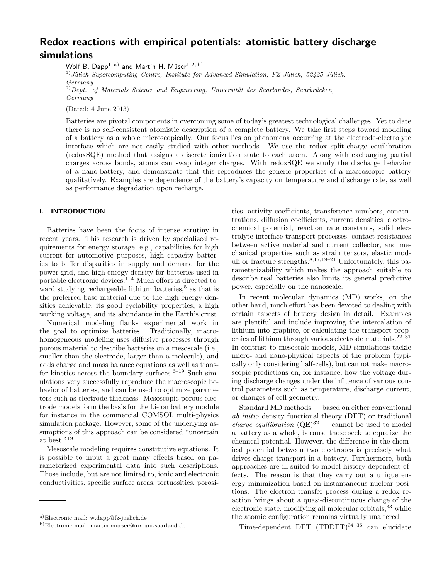# Redox reactions with empirical potentials: atomistic battery discharge simulations

Wolf B. Dapp<sup>1, a)</sup> and Martin H. Müser<sup>1, 2, b)</sup>

<sup>1)</sup> Jülich Supercomputing Centre, Institute for Advanced Simulation, FZ Jülich, 52425 Jülich, Germany  $^{2)}$  Dept. of Materials Science and Engineering, Universität des Saarlandes, Saarbrücken,

Germany

(Dated: 4 June 2013)

Batteries are pivotal components in overcoming some of today's greatest technological challenges. Yet to date there is no self-consistent atomistic description of a complete battery. We take first steps toward modeling of a battery as a whole microscopically. Our focus lies on phenomena occurring at the electrode-electrolyte interface which are not easily studied with other methods. We use the redox split-charge equilibration (redoxSQE) method that assigns a discrete ionization state to each atom. Along with exchanging partial charges across bonds, atoms can swap integer charges. With redoxSQE we study the discharge behavior of a nano-battery, and demonstrate that this reproduces the generic properties of a macroscopic battery qualitatively. Examples are dependence of the battery's capacity on temperature and discharge rate, as well as performance degradation upon recharge.

# I. INTRODUCTION

Batteries have been the focus of intense scrutiny in recent years. This research is driven by specialized requirements for energy storage, e.g., capabilities for high current for automotive purposes, high capacity batteries to buffer disparities in supply and demand for the power grid, and high energy density for batteries used in portable electronic devices.1–4 Much effort is directed toward studying rechargeable lithium batteries, $5$  as that is the preferred base material due to the high energy densities achievable, its good cyclability properties, a high working voltage, and its abundance in the Earth's crust.

Numerical modeling flanks experimental work in the goal to optimize batteries. Traditionally, macrohomogeneous modeling uses diffusive processes through porous material to describe batteries on a mesoscale (i.e., smaller than the electrode, larger than a molecule), and adds charge and mass balance equations as well as transfer kinetics across the boundary surfaces.<sup>6–19</sup> Such simulations very successfully reproduce the macroscopic behavior of batteries, and can be used to optimize parameters such as electrode thickness. Mesoscopic porous electrode models form the basis for the Li-ion battery module for instance in the commercial COMSOL multi-physics simulation package. However, some of the underlying assumptions of this approach can be considered "uncertain at best."<sup>19</sup>

Mesoscale modeling requires constitutive equations. It is possible to input a great many effects based on parameterized experimental data into such descriptions. Those include, but are not limited to, ionic and electronic conductivities, specific surface areas, tortuosities, porosi-

ties, activity coefficients, transference numbers, concentrations, diffusion coefficients, current densities, electrochemical potential, reaction rate constants, solid electrolyte interface transport processes, contact resistances between active material and current collector, and mechanical properties such as strain tensors, elastic moduli or fracture strengths.  $8,17,19-21$  Unfortunately, this parameterizability which makes the approach suitable to describe real batteries also limits its general predictive power, especially on the nanoscale.

In recent molecular dynamics (MD) works, on the other hand, much effort has been devoted to dealing with certain aspects of battery design in detail. Examples are plentiful and include improving the intercalation of lithium into graphite, or calculating the transport properties of lithium through various electrode materials.22–31 In contrast to mesoscale models, MD simulations tackle micro- and nano-physical aspects of the problem (typically only considering half-cells), but cannot make macroscopic predictions on, for instance, how the voltage during discharge changes under the influence of various control parameters such as temperature, discharge current, or changes of cell geometry.

Standard MD methods — based on either conventional ab initio density functional theory (DFT) or traditional *charge equilibration*  $(QE)^{32}$  — cannot be used to model a battery as a whole, because those seek to equalize the chemical potential. However, the difference in the chemical potential between two electrodes is precisely what drives charge transport in a battery. Furthermore, both approaches are ill-suited to model history-dependent effects. The reason is that they carry out a unique energy minimization based on instantaneous nuclear positions. The electron transfer process during a redox reaction brings about a quasi-discontinuous change of the electronic state, modifying all molecular orbitals,  $33$  while the atomic configuration remains virtually unaltered.

Time-dependent DFT (TDDFT)<sup>34-36</sup> can elucidate

a)Electronic mail: w.dapp@fz-juelich.de

b)Electronic mail: martin.mueser@mx.uni-saarland.de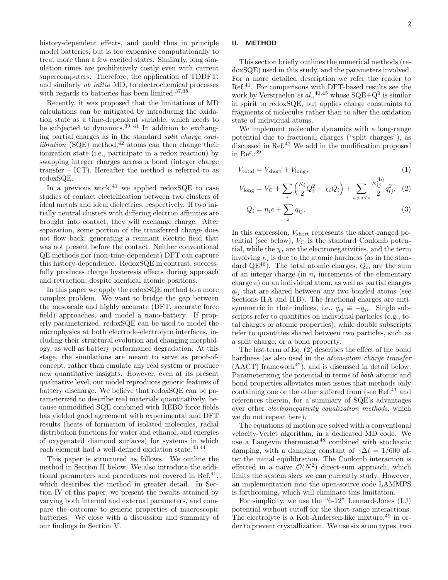history-dependent effects, and could thus in principle model batteries, but is too expensive computationally to treat more than a few excited states. Similarly, long simulation times are prohibitively costly even with current supercomputers. Therefore, the application of TDDFT, and similarly ab initio MD, to electrochemical processes with regards to batteries has been limited.<sup>37,38</sup>

Recently, it was proposed that the limitations of MD calculations can be mitigated by introducing the oxidation state as a time-dependent variable, which needs to be subjected to dynamics. $39-41$  In addition to exchanging partial charges as in the standard split charge equi $libration$  (SQE) method,<sup>42</sup> atoms can then change their ionization state (i.e., participate in a redox reaction) by swapping integer charges across a bond (integer charge transfer – ICT). Hereafter the method is referred to as redoxSQE.

In a previous work,  $41$  we applied redoxSQE to case studies of contact electrification between two clusters of ideal metals and ideal dielectrics, respectively. If two initially neutral clusters with differing electron affinities are brought into contact, they will exchange charge. After separation, some portion of the transferred charge does not flow back, generating a remnant electric field that was not present before the contact. Neither conventional QE methods nor (non-time-dependent) DFT can capture this history-dependence. RedoxSQE in contrast, successfully produces charge hysteresis effects during approach and retraction, despite identical atomic positions.

In this paper we apply the redoxSQE method to a more complex problem. We want to bridge the gap between the mesoscale and highly accurate (DFT, accurate force field) approaches, and model a nano-battery. If properly parameterized, redoxSQE can be used to model the microphysics at both electrode-electrolyte interfaces, including their structural evolution and changing morphology, as well as battery performance degradation. At this stage, the simulations are meant to serve as proof-ofconcept, rather than emulate any real system or produce new quantitative insights. However, even at its present qualitative level, our model reproduces generic features of battery discharge. We believe that redoxSQE can be parameterized to describe real materials quantitatively, because unmodified SQE combined with REBO force fields has yielded good agreement with experimental and DFT results (heats of formation of isolated molecules, radial distribution functions for water and ethanol, and energies of oxygenated diamond surfaces) for systems in which each element had a well-defined oxidation state.<sup>43,44</sup>

This paper is structured as follows. We outline the method in Section II below. We also introduce the additional parameters and procedures not covered in Ref. $^{41}$ , which describes the method in greater detail. In Section IV of this paper, we present the results attained by varying both internal and external parameters, and compare the outcome to generic properties of macroscopic batteries. We close with a discussion and summary of our findings in Section V.

# II. METHOD

This section briefly outlines the numerical methods (redoxSQE) used in this study, and the parameters involved. For a more detailed description we refer the reader to Ref.<sup>41</sup>. For comparisons with DFT-based results see the work by Verstraelen *et al.*,<sup>40,45</sup> whose  $SQE+Q^0$  is similar in spirit to redoxSQE, but applies charge constraints to fragments of molecules rather than to alter the oxidation state of individual atoms.

We implement molecular dynamics with a long-range potential due to fractional charges ("split charges"), as discussed in Ref.<sup>42</sup> We add in the modification proposed in Ref.:<sup>39</sup>

$$
V_{\text{total}} = V_{\text{short}} + V_{\text{long}},\tag{1}
$$

$$
V_{\text{long}} = V_{\text{C}} + \sum_{i} \left( \frac{\kappa_i}{2} Q_i^2 + \chi_i Q_i \right) + \sum_{i,j,j
$$

$$
Q_i = n_i e + \sum_j q_{ij}.
$$
\n(3)

In this expression,  $V_{\text{short}}$  represents the short-ranged potential (see below),  $V_{\rm C}$  is the standard Coulomb potential, while the  $\chi_i$  are the electronegativities, and the term involving  $\kappa_i$  is due to the atomic hardness (as in the standard  $\mathbf{Q} \mathbf{E}^{46}$ ). The total atomic charges,  $Q_i$ , are the sum of an integer charge (in  $n_i$  increments of the elementary charge e) on an individual atom, as well as partial charges  $q_{ij}$  that are shared between any two bonded atoms (see Sections II A and II B). The fractional charges are antisymmetric in their indices, i.e.,  $q_{ij} \equiv -q_{ji}$ . Single subscripts refer to quantities on individual particles (e.g., total charges or atomic properties), while double subscripts refer to quantities shared between two particles, such as a split charge, or a bond property.

The last term of Eq. (2) describes the effect of the bond hardness (as also used in the atom-atom charge transfer  $(AACT)$  framework<sup>47</sup>), and is discussed in detail below. Parameterizing the potential in terms of both atomic and bond properties alleviates most issues that methods only containing one or the other suffered from (see Ref. $41$  and references therein, for a summary of SQE's advantages over other electronegativity equalization methods, which we do not repeat here).

The equations of motion are solved with a conventional velocity-Verlet algorithm, in a dedicated MD code. We use a Langevin thermostat<sup>48</sup> combined with stochastic damping, with a damping constant of  $\gamma \Delta t = 1/600$  after the initial equilibration. The Coulomb interaction is effected in a naïve  $\mathcal{O}(N^2)$  direct-sum approach, which limits the system sizes we can currently study. However, an implementation into the open-source code LAMMPS is forthcoming, which will eliminate this limitation.

For simplicity, we use the "6-12" Lennard-Jones (LJ) potential without cutoff for the short-range interactions. The electrolyte is a Kob-Andersen-like mixture,  $49$  in order to prevent crystallization. We use six atom types, two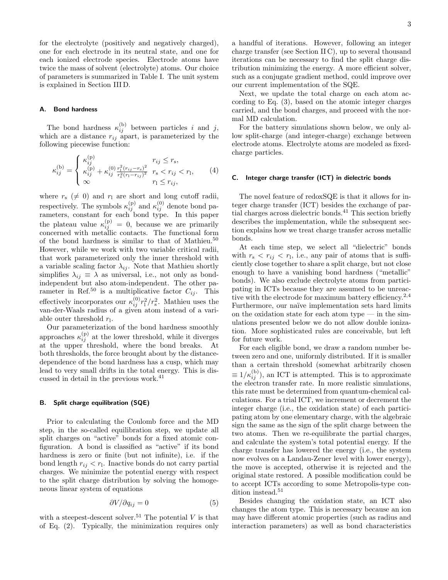for the electrolyte (positively and negatively charged), one for each electrode in its neutral state, and one for each ionized electrode species. Electrode atoms have twice the mass of solvent (electrolyte) atoms. Our choice of parameters is summarized in Table I. The unit system is explained in Section III D.

## A. Bond hardness

The bond hardness  $\kappa_{ij}^{(b)}$  between particles i and j, which are a distance  $r_{ij}$  apart, is parameterized by the following piecewise function:

$$
\kappa_{ij}^{(\rm b)} = \begin{cases}\n\kappa_{ij}^{(\rm p)} & r_{ij} \le r_{\rm s}, \\
\kappa_{ij}^{(\rm p)} + \kappa_{ij}^{(0)} \frac{r_1^2 (r_{ij} - r_{\rm s})^2}{r_{\rm s}^2 (r_1 - r_{ij})^2} & r_{\rm s} < r_{ij} < r_1, \\
\infty & r_1 \le r_{ij},\n\end{cases}
$$
\n(4)

where  $r_s \neq 0$  and  $r_1$  are short and long cutoff radii, respectively. The symbols  $\kappa_{ij}^{(p)}$  and  $\kappa_{ij}^{(0)}$  denote bond parameters, constant for each bond type. In this paper the plateau value  $\kappa_{ij}^{(p)} = 0$ , because we are primarily concerned with metallic contacts. The functional form of the bond hardness is similar to that of Mathieu.<sup>50</sup> However, while we work with two variable critical radii, that work parameterized only the inner threshold with a variable scaling factor  $\lambda_{ij}$ . Note that Mathieu shortly simplifies  $\lambda_{ij} \equiv \lambda$  as universal, i.e., not only as bondindependent but also atom-independent. The other parameter in Ref.<sup>50</sup> is a multiplicative factor  $C_{ij}$ . This effectively incorporates our  $\kappa_{ij}^{(0)} r_1^2/r_s^2$ . Mathieu uses the van-der-Waals radius of a given atom instead of a variable outer threshold  $r_1$ .

Our parameterization of the bond hardness smoothly approaches  $\kappa_{ij}^{(p)}$  at the lower threshold, while it diverges at the upper threshold, where the bond breaks. At both thresholds, the force brought about by the distancedependence of the bond hardness has a cusp, which may lead to very small drifts in the total energy. This is discussed in detail in the previous work.<sup>41</sup>

## B. Split charge equilibration (SQE)

Prior to calculating the Coulomb force and the MD step, in the so-called equilibration step, we update all split charges on "active" bonds for a fixed atomic configuration. A bond is classified as "active" if its bond hardness is zero or finite (but not infinite), i.e. if the bond length  $r_{ij} < r_l$ . Inactive bonds do not carry partial charges. We minimize the potential energy with respect to the split charge distribution by solving the homogeneous linear system of equations

$$
\frac{\partial V}{\partial q_{ij}} = 0 \tag{5}
$$

with a steepest-descent solver.<sup>51</sup> The potential  $V$  is that of Eq. (2). Typically, the minimization requires only

a handful of iterations. However, following an integer charge transfer (see Section II C), up to several thousand iterations can be necessary to find the split charge distribution minimizing the energy. A more efficient solver, such as a conjugate gradient method, could improve over our current implementation of the SQE.

Next, we update the total charge on each atom according to Eq. (3), based on the atomic integer charges carried, and the bond charges, and proceed with the normal MD calculation.

For the battery simulations shown below, we only allow split-charge (and integer-charge) exchange between electrode atoms. Electrolyte atoms are modeled as fixedcharge particles.

# C. Integer charge transfer (ICT) in dielectric bonds

The novel feature of redoxSQE is that it allows for integer charge transfer (ICT) besides the exchange of partial charges across dielectric bonds.<sup>41</sup> This section briefly describes the implementation, while the subsequent section explains how we treat charge transfer across metallic bonds.

At each time step, we select all "dielectric" bonds with  $r_s < r_{ij} < r_l$ , i.e., any pair of atoms that is sufficiently close together to share a split charge, but not close enough to have a vanishing bond hardness ("metallic" bonds). We also exclude electrolyte atoms from participating in ICTs because they are assumed to be unreactive with the electrode for maximum battery efficiency.<sup>2,4</sup> Furthermore, our naïve implementation sets hard limits on the oxidation state for each atom type  $-$  in the simulations presented below we do not allow double ionization. More sophisticated rules are conceivable, but left for future work.

For each eligible bond, we draw a random number between zero and one, uniformly distributed. If it is smaller than a certain threshold (somewhat arbitrarily chosen  $\equiv 1/\kappa_{ij}^{(b)}$ , an ICT is attempted. This is to approximate the electron transfer rate. In more realistic simulations, this rate must be determined from quantum-chemical calculations. For a trial ICT, we increment or decrement the integer charge (i.e., the oxidation state) of each participating atom by one elementary charge, with the algebraic sign the same as the sign of the split charge between the two atoms. Then we re-equilibrate the partial charges, and calculate the system's total potential energy. If the charge transfer has lowered the energy (i.e., the system now evolves on a Landau-Zener level with lower energy), the move is accepted, otherwise it is rejected and the original state restored. A possible modification could be to accept ICTs according to some Metropolis-type condition instead.<sup>51</sup>

Besides changing the oxidation state, an ICT also changes the atom type. This is necessary because an ion may have different atomic properties (such as radius and interaction parameters) as well as bond characteristics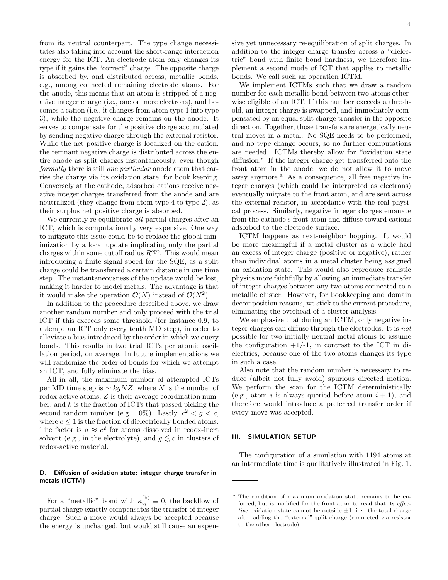from its neutral counterpart. The type change necessitates also taking into account the short-range interaction energy for the ICT. An electrode atom only changes its type if it gains the "correct" charge. The opposite charge is absorbed by, and distributed across, metallic bonds, e.g., among connected remaining electrode atoms. For the anode, this means that an atom is stripped of a negative integer charge (i.e., one or more electrons), and becomes a cation (i.e., it changes from atom type 1 into type 3), while the negative charge remains on the anode. It serves to compensate for the positive charge accumulated by sending negative charge through the external resistor. While the net positive charge is localized on the cation, the remnant negative charge is distributed across the entire anode as split charges instantaneously, even though formally there is still one particular anode atom that carries the charge via its oxidation state, for book keeping. Conversely at the cathode, adsorbed cations receive negative integer charges transferred from the anode and are neutralized (they change from atom type 4 to type 2), as their surplus net positive charge is absorbed.

We currently re-equilibrate *all* partial charges after an ICT, which is computationally very expensive. One way to mitigate this issue could be to replace the global minimization by a local update implicating only the partial charges within some cutoff radius  $R<sup>opt</sup>$ . This would mean introducing a finite signal speed for the SQE, as a split charge could be transferred a certain distance in one time step. The instantaneousness of the update would be lost, making it harder to model metals. The advantage is that it would make the operation  $\mathcal{O}(N)$  instead of  $\mathcal{O}(N^2)$ .

In addition to the procedure described above, we draw another random number and only proceed with the trial ICT if this exceeds some threshold (for instance 0.9, to attempt an ICT only every tenth MD step), in order to alleviate a bias introduced by the order in which we query bonds. This results in two trial ICTs per atomic oscillation period, on average. In future implementations we will randomize the order of bonds for which we attempt an ICT, and fully eliminate the bias.

All in all, the maximum number of attempted ICTs per MD time step is  $\sim$  kgNZ, where N is the number of redox-active atoms, Z is their average coordination number, and  $k$  is the fraction of ICTs that passed picking the second random number (e.g. 10%). Lastly,  $c^2 < g < c$ , where  $c \leq 1$  is the fraction of dielectrically bonded atoms. The factor is  $g \approx c^2$  for atoms dissolved in redox-inert solvent (e.g., in the electrolyte), and  $g \leq c$  in clusters of redox-active material.

# D. Diffusion of oxidation state: integer charge transfer in metals (ICTM)

For a "metallic" bond with  $\kappa_{ij}^{(b)} \equiv 0$ , the backflow of partial charge exactly compensates the transfer of integer charge. Such a move would always be accepted because the energy is unchanged, but would still cause an expensive yet unnecessary re-equilibration of split charges. In addition to the integer charge transfer across a "dielectric" bond with finite bond hardness, we therefore implement a second mode of ICT that applies to metallic bonds. We call such an operation ICTM.

We implement ICTMs such that we draw a random number for each metallic bond between two atoms otherwise eligible of an ICT. If this number exceeds a threshold, an integer charge is swapped, and immediately compensated by an equal split charge transfer in the opposite direction. Together, those transfers are energetically neutral moves in a metal. No SQE needs to be performed, and no type change occurs, so no further computations are needed. ICTMs thereby allow for "oxidation state diffusion." If the integer charge get transferred onto the front atom in the anode, we do not allow it to move away anymore.<sup>a</sup> As a consequence, all free negative integer charges (which could be interpreted as electrons) eventually migrate to the front atom, and are sent across the external resistor, in accordance with the real physical process. Similarly, negative integer charges emanate from the cathode's front atom and diffuse toward cations adsorbed to the electrode surface.

ICTM happens as next-neighbor hopping. It would be more meaningful if a metal cluster as a whole had an excess of integer charge (positive or negative), rather than individual atoms in a metal cluster being assigned an oxidation state. This would also reproduce realistic physics more faithfully by allowing an immediate transfer of integer charges between any two atoms connected to a metallic cluster. However, for bookkeeping and domain decomposition reasons, we stick to the current procedure, eliminating the overhead of a cluster analysis.

We emphasize that during an ICTM, only negative integer charges can diffuse through the electrodes. It is not possible for two initially neutral metal atoms to assume the configuration  $+1/-1$ , in contrast to the ICT in dielectrics, because one of the two atoms changes its type in such a case.

Also note that the random number is necessary to reduce (albeit not fully avoid) spurious directed motion. We perform the scan for the ICTM deterministically (e.g., atom i is always queried before atom  $i + 1$ ), and therefore would introduce a preferred transfer order if every move was accepted.

### III. SIMULATION SETUP

The configuration of a simulation with 1194 atoms at an intermediate time is qualitatively illustrated in Fig. 1.

<sup>a</sup> The condition of maximum oxidation state remains to be enforced, but is modified for the front atom to read that its effective oxidation state cannot be outside  $\pm 1$ , i.e., the total charge after adding the "external" split charge (connected via resistor to the other electrode).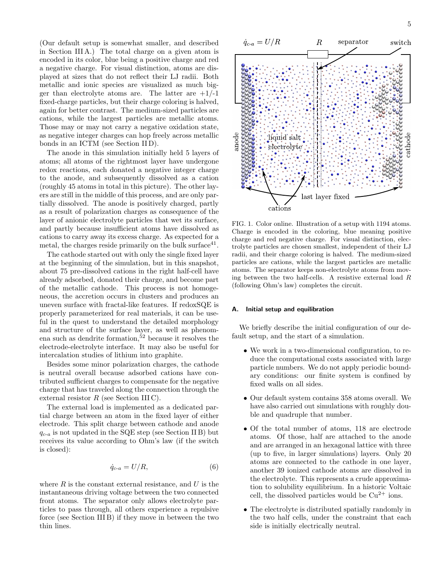(Our default setup is somewhat smaller, and described in Section III A.) The total charge on a given atom is encoded in its color, blue being a positive charge and red a negative charge. For visual distinction, atoms are displayed at sizes that do not reflect their LJ radii. Both metallic and ionic species are visualized as much bigger than electrolyte atoms are. The latter are  $+1/-1$ fixed-charge particles, but their charge coloring is halved, again for better contrast. The medium-sized particles are cations, while the largest particles are metallic atoms. Those may or may not carry a negative oxidation state, as negative integer charges can hop freely across metallic bonds in an ICTM (see Section II D).

The anode in this simulation initially held 5 layers of atoms; all atoms of the rightmost layer have undergone redox reactions, each donated a negative integer charge to the anode, and subsequently dissolved as a cation (roughly 45 atoms in total in this picture). The other layers are still in the middle of this process, and are only partially dissolved. The anode is positively charged, partly as a result of polarization charges as consequence of the layer of anionic electrolyte particles that wet its surface, and partly because insufficient atoms have dissolved as cations to carry away its excess charge. As expected for a metal, the charges reside primarily on the bulk surface $^{41}$ .

The cathode started out with only the single fixed layer at the beginning of the simulation, but in this snapshot, about 75 pre-dissolved cations in the right half-cell have already adsorbed, donated their charge, and become part of the metallic cathode. This process is not homogeneous, the accretion occurs in clusters and produces an uneven surface with fractal-like features. If redoxSQE is properly parameterized for real materials, it can be useful in the quest to understand the detailed morphology and structure of the surface layer, as well as phenomena such as dendrite formation,  $52$  because it resolves the electrode-electrolyte interface. It may also be useful for intercalation studies of lithium into graphite.

Besides some minor polarization charges, the cathode is neutral overall because adsorbed cations have contributed sufficient charges to compensate for the negative charge that has traveled along the connection through the external resistor  $R$  (see Section III C).

The external load is implemented as a dedicated partial charge between an atom in the fixed layer of either electrode. This split charge between cathode and anode  $q_{c-a}$  is not updated in the SQE step (see Section II B) but receives its value according to Ohm's law (if the switch is closed):

$$
\dot{q}_{c-a} = U/R,\tag{6}
$$

where  $R$  is the constant external resistance, and  $U$  is the instantaneous driving voltage between the two connected front atoms. The separator only allows electrolyte particles to pass through, all others experience a repulsive force (see Section III B) if they move in between the two thin lines.



FIG. 1. Color online. Illustration of a setup with 1194 atoms. Charge is encoded in the coloring, blue meaning positive charge and red negative charge. For visual distinction, electrolyte particles are chosen smallest, independent of their LJ radii, and their charge coloring is halved. The medium-sized particles are cations, while the largest particles are metallic atoms. The separator keeps non-electrolyte atoms from moving between the two half-cells. A resistive external load R (following Ohm's law) completes the circuit.

## A. Initial setup and equilibration

We briefly describe the initial configuration of our default setup, and the start of a simulation.

- We work in a two-dimensional configuration, to reduce the computational costs associated with large particle numbers. We do not apply periodic boundary conditions: our finite system is confined by fixed walls on all sides.
- Our default system contains 358 atoms overall. We have also carried out simulations with roughly double and quadruple that number.
- Of the total number of atoms, 118 are electrode atoms. Of those, half are attached to the anode and are arranged in an hexagonal lattice with three (up to five, in larger simulations) layers. Only 20 atoms are connected to the cathode in one layer, another 39 ionized cathode atoms are dissolved in the electrolyte. This represents a crude approximation to solubility equilibrium. In a historic Voltaic cell, the dissolved particles would be  $Cu^{2+}$  ions.
- The electrolyte is distributed spatially randomly in the two half cells, under the constraint that each side is initially electrically neutral.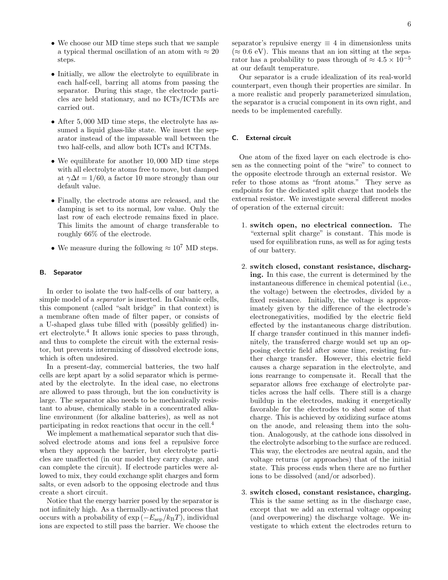- We choose our MD time steps such that we sample a typical thermal oscillation of an atom with  $\approx 20$ steps.
- Initially, we allow the electrolyte to equilibrate in each half-cell, barring all atoms from passing the separator. During this stage, the electrode particles are held stationary, and no ICTs/ICTMs are carried out.
- After 5,000 MD time steps, the electrolyte has assumed a liquid glass-like state. We insert the separator instead of the impassable wall between the two half-cells, and allow both ICTs and ICTMs.
- $\bullet$  We equilibrate for another 10,000 MD time steps with all electrolyte atoms free to move, but damped at  $\gamma \Delta t = 1/60$ , a factor 10 more strongly than our default value.
- Finally, the electrode atoms are released, and the damping is set to its normal, low value. Only the last row of each electrode remains fixed in place. This limits the amount of charge transferable to roughly 66% of the electrode.
- We measure during the following  $\approx 10^7$  MD steps.

## B. Separator

In order to isolate the two half-cells of our battery, a simple model of a separator is inserted. In Galvanic cells, this component (called "salt bridge" in that context) is a membrane often made of filter paper, or consists of a U-shaped glass tube filled with (possibly gelified) inert electrolyte.<sup>4</sup> It allows ionic species to pass through, and thus to complete the circuit with the external resistor, but prevents intermixing of dissolved electrode ions, which is often undesired.

In a present-day, commercial batteries, the two half cells are kept apart by a solid separator which is permeated by the electrolyte. In the ideal case, no electrons are allowed to pass through, but the ion conductivity is large. The separator also needs to be mechanically resistant to abuse, chemically stable in a concentrated alkaline environment (for alkaline batteries), as well as not participating in redox reactions that occur in the cell.<sup>4</sup>

We implement a mathematical separator such that dissolved electrode atoms and ions feel a repulsive force when they approach the barrier, but electrolyte particles are unaffected (in our model they carry charge, and can complete the circuit). If electrode particles were allowed to mix, they could exchange split charges and form salts, or even adsorb to the opposing electrode and thus create a short circuit.

Notice that the energy barrier posed by the separator is not infinitely high. As a thermally-activated process that occurs with a probability of  $\exp(-E_{\text{sep}}/k_BT)$ , individual ions are expected to still pass the barrier. We choose the separator's repulsive energy  $\equiv$  4 in dimensionless units  $(\approx 0.6 \text{ eV})$ . This means that an ion sitting at the separator has a probability to pass through of  $\approx 4.5 \times 10^{-5}$ at our default temperature.

Our separator is a crude idealization of its real-world counterpart, even though their properties are similar. In a more realistic and properly parameterized simulation, the separator is a crucial component in its own right, and needs to be implemented carefully.

# C. External circuit

One atom of the fixed layer on each electrode is chosen as the connecting point of the "wire" to connect to the opposite electrode through an external resistor. We refer to those atoms as "front atoms." They serve as endpoints for the dedicated split charge that models the external resistor. We investigate several different modes of operation of the external circuit:

- 1. switch open, no electrical connection. The "external split charge" is constant. This mode is used for equilibration runs, as well as for aging tests of our battery.
- 2. switch closed, constant resistance, discharging. In this case, the current is determined by the instantaneous difference in chemical potential (i.e., the voltage) between the electrodes, divided by a fixed resistance. Initially, the voltage is approximately given by the difference of the electrode's electronegativities, modified by the electric field effected by the instantaneous charge distribution. If charge transfer continued in this manner indefinitely, the transferred charge would set up an opposing electric field after some time, resisting further charge transfer. However, this electric field causes a charge separation in the electrolyte, and ions rearrange to compensate it. Recall that the separator allows free exchange of electrolyte particles across the half cells. There still is a charge buildup in the electrodes, making it energetically favorable for the electrodes to shed some of that charge. This is achieved by oxidizing surface atoms on the anode, and releasing them into the solution. Analogously, at the cathode ions dissolved in the electrolyte adsorbing to the surface are reduced. This way, the electrodes are neutral again, and the voltage returns (or approaches) that of the initial state. This process ends when there are no further ions to be dissolved (and/or adsorbed).
- 3. switch closed, constant resistance, charging. This is the same setting as in the discharge case, except that we add an external voltage opposing (and overpowering) the discharge voltage. We investigate to which extent the electrodes return to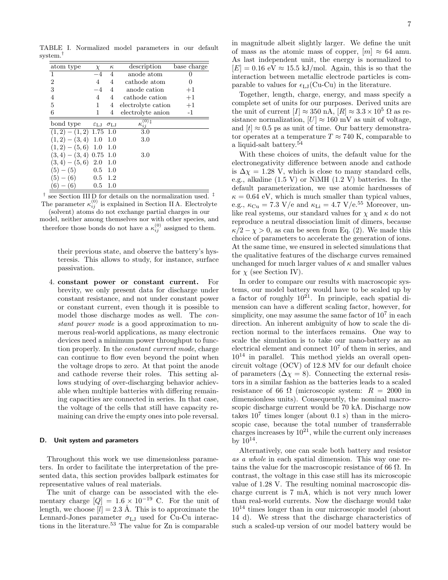TABLE I. Normalized model parameters in our default system.†

| atom type                | $\chi$                      | $\kappa$               | description                 | base charge |
|--------------------------|-----------------------------|------------------------|-----------------------------|-------------|
| 1                        | -4                          | 4                      | anode atom                  | 0           |
| 2                        | 4                           | 4                      | cathode atom                | 0           |
| 3                        | $-4$                        | 4                      | anode cation                | $+1$        |
| 4                        | 4                           | 4                      | cathode cation              | $+1$        |
| 5                        | 1                           | 4                      | electrolyte cation          | $+1$        |
| 6                        | 1                           | 4                      | electrolyte anion           | -1          |
| bond type                | $\varepsilon_{\mathrm{LJ}}$ | $\sigma_{\mathrm{LJ}}$ | $\kappa_{ij}^{(0)\ddagger}$ |             |
| $(1,2) - (1,2)$ 1.75 1.0 |                             |                        | 3.0                         |             |
| $(1,2) - (3,4)$          | 1.0                         | 1.0                    | 3.0                         |             |
| $(1,2) - (5,6)$          | 1.0                         | 1.0                    |                             |             |
| $(3,4) - (3,4)$ 0.75     |                             | 1.0                    | 3.0                         |             |
| $(3,4) - (5,6)$          | 2.0                         | 1.0                    |                             |             |
| $(5)-(5)$                | 0.5                         | 1.0                    |                             |             |
| (6)<br>$(5) -$           | 0.5                         | 1.2                    |                             |             |
| 6)<br>6)                 | 0.5                         | 1.0                    |                             |             |

<sup>†</sup> see Section III D for details on the normalization used. <sup>‡</sup> The parameter  $\kappa_{ij}^{(0)}$  is explained in Section II A. Electrolyte

(solvent) atoms do not exchange partial charges in our model, neither among themselves nor with other species, and therefore those bonds do not have a  $\kappa_{ij}^{(0)}$  assigned to them.

their previous state, and observe the battery's hysteresis. This allows to study, for instance, surface passivation.

4. constant power or constant current. For brevity, we only present data for discharge under constant resistance, and not under constant power or constant current, even though it is possible to model those discharge modes as well. The constant power mode is a good approximation to numerous real-world applications, as many electronic devices need a minimum power throughput to function properly. In the constant current mode, charge can continue to flow even beyond the point when the voltage drops to zero. At that point the anode and cathode reverse their roles. This setting allows studying of over-discharging behavior achievable when multiple batteries with differing remaining capacities are connected in series. In that case, the voltage of the cells that still have capacity remaining can drive the empty ones into pole reversal.

#### D. Unit system and parameters

Throughout this work we use dimensionless parameters. In order to facilitate the interpretation of the presented data, this section provides ballpark estimates for representative values of real materials.

The unit of charge can be associated with the elementary charge  $[Q] = 1.6 \times 10^{-19}$  C. For the unit of length, we choose  $[l] = 2.3$  Å. This is to approximate the Lennard-Jones parameter  $\sigma_{LJ}$  used for Cu-Cu interactions in the literature.<sup>53</sup> The value for Zn is comparable

in magnitude albeit slightly larger. We define the unit of mass as the atomic mass of copper,  $[m] \approx 64$  amu. As last independent unit, the energy is normalized to  $[E] = 0.16$  eV  $\approx 15.5$  kJ/mol. Again, this is so that the interaction between metallic electrode particles is comparable to values for  $\epsilon_{\text{LJ}}(\text{Cu-Cu})$  in the literature.

Together, length, charge, energy, and mass specify a complete set of units for our purposes. Derived units are the unit of current  $[I] \approx 350$  nA,  $[R] \approx 3.3 \times 10^5$   $\Omega$  as resistance normalization,  $[U] \approx 160$  mV as unit of voltage, and  $|t| \approx 0.5$  ps as unit of time. Our battery demonstrator operates at a temperature  $T \approx 740$  K, comparable to a liquid-salt battery.<sup>54</sup>

With these choices of units, the default value for the electronegativity difference between anode and cathode is  $\Delta \chi = 1.28$  V, which is close to many standard cells, e.g., alkaline (1.5 V) or NiMH (1.2 V) batteries. In the default parameterization, we use atomic hardnesses of  $\kappa = 0.64$  eV, which is much smaller than typical values, e.g.,  $\kappa_{\text{Cu}} = 7.3 \text{ V/e}$  and  $\kappa_{\text{Li}} = 4.7 \text{ V/e}^{55}$  Moreover, unlike real systems, our standard values for  $\chi$  and  $\kappa$  do not reproduce a neutral dissociation limit of dimers, because  $\kappa/2 - \chi > 0$ , as can be seen from Eq. (2). We made this choice of parameters to accelerate the generation of ions. At the same time, we ensured in selected simulations that the qualitative features of the discharge curves remained unchanged for much larger values of  $\kappa$  and smaller values for  $\chi$  (see Section IV).

In order to compare our results with macroscopic systems, our model battery would have to be scaled up by a factor of roughly  $10^{21}$ . In principle, each spatial dimension can have a different scaling factor, however, for simplicity, one may assume the same factor of  $10<sup>7</sup>$  in each direction. An inherent ambiguity of how to scale the direction normal to the interfaces remains. One way to scale the simulation is to take our nano-battery as an electrical element and connect  $10<sup>7</sup>$  of them in series, and  $10^{14}$  in parallel. This method yields an overall opencircuit voltage (OCV) of 12.8 MV for our default choice of parameters ( $\Delta \chi = 8$ ). Connecting the external resistors in a similar fashion as the batteries leads to a scaled resistance of 66  $\Omega$  (microscopic system:  $R = 2000$  in dimensionless units). Consequently, the nominal macroscopic discharge current would be 70 kA. Discharge now takes  $10<sup>7</sup>$  times longer (about 0.1 s) than in the microscopic case, because the total number of transferrable charges increases by  $10^{21}$ , while the current only increases by  $10^{14}$ .

Alternatively, one can scale both battery and resistor as a whole in each spatial dimension. This way one retains the value for the macroscopic resistance of 66  $\Omega$ . In contrast, the voltage in this case still has its microscopic value of 1.28 V. The resulting nominal macroscopic discharge current is 7 mA, which is not very much lower than real-world currents. Now the discharge would take  $10^{14}$  times longer than in our microscopic model (about 14 d). We stress that the discharge characteristics of such a scaled-up version of our model battery would be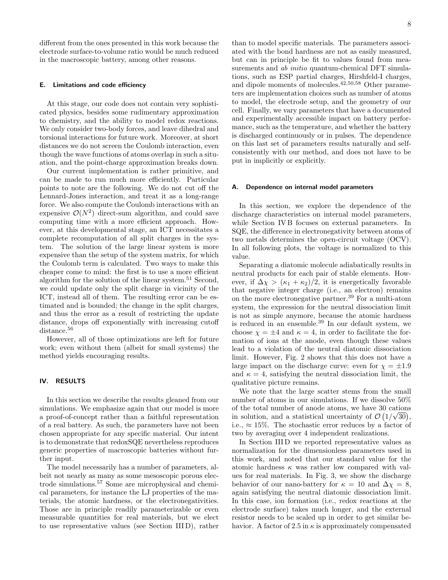different from the ones presented in this work because the electrode surface-to-volume ratio would be much reduced in the macroscopic battery, among other reasons.

## E. Limitations and code efficiency

At this stage, our code does not contain very sophisticated physics, besides some rudimentary approximation to chemistry, and the ability to model redox reactions. We only consider two-body forces, and leave dihedral and torsional interactions for future work. Moreover, at short distances we do not screen the Coulomb interaction, even though the wave functions of atoms overlap in such a situation, and the point-charge approximation breaks down.

Our current implementation is rather primitive, and can be made to run much more efficiently. Particular points to note are the following. We do not cut off the Lennard-Jones interaction, and treat it as a long-range force. We also compute the Coulomb interactions with an expensive  $\mathcal{O}(N^2)$  direct-sum algorithm, and could save computing time with a more efficient approach. However, at this developmental stage, an ICT necessitates a complete recomputation of all split charges in the system. The solution of the large linear system is more expensive than the setup of the system matrix, for which the Coulomb term is calculated. Two ways to make this cheaper come to mind: the first is to use a more efficient algorithm for the solution of the linear system.<sup>51</sup> Second, we could update only the split charge in vicinity of the ICT, instead all of them. The resulting error can be estimated and is bounded; the change in the split charges, and thus the error as a result of restricting the update distance, drops off exponentially with increasing cutoff distance.<sup>56</sup>

However, all of those optimizations are left for future work; even without them (albeit for small systems) the method yields encouraging results.

# IV. RESULTS

In this section we describe the results gleaned from our simulations. We emphasize again that our model is more a proof-of-concept rather than a faithful representation of a real battery. As such, the parameters have not been chosen appropriate for any specific material. Our intent is to demonstrate that redoxSQE nevertheless reproduces generic properties of macroscopic batteries without further input.

The model necessarily has a number of parameters, albeit not nearly as many as some mesoscopic porous electrode simulations.<sup>57</sup> Some are microphysical and chemical parameters, for instance the LJ properties of the materials, the atomic hardness, or the electronegativities. Those are in principle readily parameterizable or even measurable quantities for real materials, but we elect to use representative values (see Section III D), rather than to model specific materials. The parameters associated with the bond hardness are not as easily measured, but can in principle be fit to values found from measurements and *ab initio* quantum-chemical DFT simulations, such as ESP partial charges, Hirshfeld-I charges, and dipole moments of molecules.<sup>42,50,58</sup> Other parameters are implementation choices such as number of atoms to model, the electrode setup, and the geometry of our cell. Finally, we vary parameters that have a documented and experimentally accessible impact on battery performance, such as the temperature, and whether the battery is discharged continuously or in pulses. The dependence on this last set of parameters results naturally and selfconsistently with our method, and does not have to be put in implicitly or explicitly.

## A. Dependence on internal model parameters

In this section, we explore the dependence of the discharge characteristics on internal model parameters, while Section IV B focuses on external parameters. In SQE, the difference in electronegativity between atoms of two metals determines the open-circuit voltage (OCV). In all following plots, the voltage is normalized to this value.

Separating a diatomic molecule adiabatically results in neutral products for each pair of stable elements. However, if  $\Delta \chi > (\kappa_1 + \kappa_2)/2$ , it is energetically favorable that negative integer charge (i.e., an electron) remains on the more electronegative partner.<sup>39</sup> For a multi-atom system, the expression for the neutral dissociation limit is not as simple anymore, because the atomic hardness is reduced in an ensemble.<sup>39</sup> In our default system, we choose  $\chi = \pm 4$  and  $\kappa = 4$ , in order to facilitate the formation of ions at the anode, even though these values lead to a violation of the neutral diatomic dissociation limit. However, Fig. 2 shows that this does not have a large impact on the discharge curve: even for  $\chi = \pm 1.9$ and  $\kappa = 4$ , satisfying the neutral dissociation limit, the qualitative picture remains.

We note that the large scatter stems from the small number of atoms in our simulations. If we dissolve 50% of the total number of anode atoms, we have 30 cations √ in solution, and a statistical uncertainty of  $\mathcal{O}(1/\sqrt{30})$ , i.e.,  $\approx 15\%$ . The stochastic error reduces by a factor of two by averaging over 4 independent realizations.

In Section III D we reported representative values as normalization for the dimensionless parameters used in this work, and noted that our standard value for the atomic hardness  $\kappa$  was rather low compared with values for real materials. In Fig. 3, we show the discharge behavior of our nano-battery for  $\kappa = 10$  and  $\Delta \chi = 8$ , again satisfying the neutral diatomic dissociation limit. In this case, ion formation (i.e., redox reactions at the electrode surface) takes much longer, and the external resistor needs to be scaled up in order to get similar behavior. A factor of 2.5 in  $\kappa$  is approximately compensated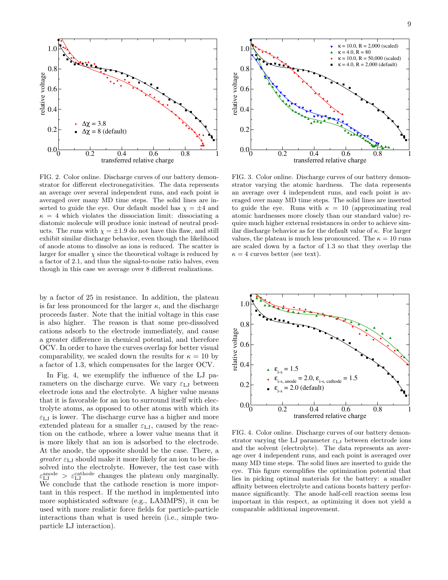

FIG. 2. Color online. Discharge curves of our battery demonstrator for different electronegativities. The data represents an average over several independent runs, and each point is averaged over many MD time steps. The solid lines are inserted to guide the eye. Our default model has  $\chi = \pm 4$  and  $\kappa = 4$  which violates the dissociation limit: dissociating a diatomic molecule will produce ionic instead of neutral products. The runs with  $\chi = \pm 1.9$  do not have this flaw, and still exhibit similar discharge behavior, even though the likelihood of anode atoms to dissolve as ions is reduced. The scatter is larger for smaller  $\chi$  since the theoretical voltage is reduced by a factor of 2.1, and thus the signal-to-noise ratio halves, even though in this case we average over 8 different realizations.

by a factor of 25 in resistance. In addition, the plateau is far less pronounced for the larger  $\kappa$ , and the discharge proceeds faster. Note that the initial voltage in this case is also higher. The reason is that some pre-dissolved cations adsorb to the electrode immediately, and cause a greater difference in chemical potential, and therefore OCV. In order to have the curves overlap for better visual comparability, we scaled down the results for  $\kappa = 10$  by a factor of 1.3, which compensates for the larger OCV.

In Fig. 4, we exemplify the influence of the LJ parameters on the discharge curve. We vary  $\varepsilon_{\text{LJ}}$  between electrode ions and the electrolyte. A higher value means that it is favorable for an ion to surround itself with electrolyte atoms, as opposed to other atoms with which its  $\varepsilon_{\text{LJ}}$  is lower. The discharge curve has a higher and more extended plateau for a smaller  $\varepsilon_{\text{LJ}}$ , caused by the reaction on the cathode, where a lower value means that it is more likely that an ion is adsorbed to the electrode. At the anode, the opposite should be the case. There, a greater  $\varepsilon_{\text{LJ}}$  should make it more likely for an ion to be dissolved into the electrolyte. However, the test case with  $\varepsilon_{\text{LJ}}^{\text{anode}} > \varepsilon_{\text{LJ}}^{\text{cathode}}$  changes the plateau only marginally. We conclude that the cathode reaction is more important in this respect. If the method in implemented into more sophisticated software (e.g., LAMMPS), it can be used with more realistic force fields for particle-particle interactions than what is used herein (i.e., simple twoparticle LJ interaction).



FIG. 3. Color online. Discharge curves of our battery demonstrator varying the atomic hardness. The data represents an average over 4 independent runs, and each point is averaged over many MD time steps. The solid lines are inserted to guide the eye. Runs with  $\kappa = 10$  (approximating real atomic hardnesses more closely than our standard value) require much higher external resistances in order to achieve similar discharge behavior as for the default value of  $\kappa$ . For larger values, the plateau is much less pronounced. The  $\kappa = 10$  runs are scaled down by a factor of 1.3 so that they overlap the  $\kappa = 4$  curves better (see text).



FIG. 4. Color online. Discharge curves of our battery demonstrator varying the LJ parameter  $\varepsilon_{LJ}$  between electrode ions and the solvent (electrolyte). The data represents an average over 4 independent runs, and each point is averaged over many MD time steps. The solid lines are inserted to guide the eye. This figure exemplifies the optimization potential that lies in picking optimal materials for the battery: a smaller affinity between electrolyte and cations boosts battery performance significantly. The anode half-cell reaction seems less important in this respect, as optimizing it does not yield a comparable additional improvement.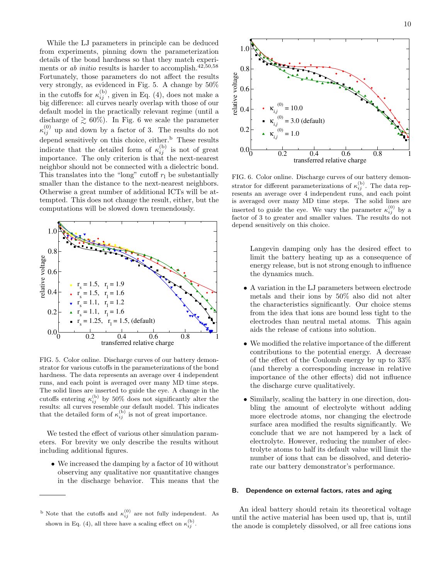While the LJ parameters in principle can be deduced from experiments, pinning down the parameterization details of the bond hardness so that they match experiments or  $ab$  *initio* results is harder to accomplish.<sup>42,50,58</sup> Fortunately, those parameters do not affect the results very strongly, as evidenced in Fig. 5. A change by 50% in the cutoffs for  $\kappa_{ij}^{(b)}$ , given in Eq. (4), does not make a big difference: all curves nearly overlap with those of our default model in the practically relevant regime (until a discharge of  $\geq 60\%$ ). In Fig. 6 we scale the parameter  $\kappa_{ij}^{(0)}$  up and down by a factor of 3. The results do not depend sensitively on this choice, either.<sup>b</sup> These results indicate that the detailed form of  $\kappa_{ij}^{(b)}$  is not of great importance. The only criterion is that the next-nearest neighbor should not be connected with a dielectric bond. This translates into the "long" cutoff  $r_1$  be substantially smaller than the distance to the next-nearest neighbors. Otherwise a great number of additional ICTs will be attempted. This does not change the result, either, but the computations will be slowed down tremendously.



FIG. 5. Color online. Discharge curves of our battery demonstrator for various cutoffs in the parameterizations of the bond hardness. The data represents an average over 4 independent runs, and each point is averaged over many MD time steps. The solid lines are inserted to guide the eye. A change in the cutoffs entering  $\kappa_{ij}^{(b)}$  by 50% does not significantly alter the results: all curves resemble our default model. This indicates that the detailed form of  $\kappa_{ij}^{(b)}$  is not of great importance.

We tested the effect of various other simulation parameters. For brevity we only describe the results without including additional figures.

• We increased the damping by a factor of 10 without observing any qualitative nor quantitative changes in the discharge behavior. This means that the



FIG. 6. Color online. Discharge curves of our battery demonstrator for different parameterizations of  $\kappa_{ij}^{(b)}$ . The data represents an average over 4 independent runs, and each point is averaged over many MD time steps. The solid lines are inserted to guide the eye. We vary the parameter  $\kappa_{ij}^{(0)}$  by a factor of 3 to greater and smaller values. The results do not depend sensitively on this choice.

Langevin damping only has the desired effect to limit the battery heating up as a consequence of energy release, but is not strong enough to influence the dynamics much.

- A variation in the LJ parameters between electrode metals and their ions by 50% also did not alter the characteristics significantly. Our choice stems from the idea that ions are bound less tight to the electrodes than neutral metal atoms. This again aids the release of cations into solution.
- We modified the relative importance of the different contributions to the potential energy. A decrease of the effect of the Coulomb energy by up to 33% (and thereby a corresponding increase in relative importance of the other effects) did not influence the discharge curve qualitatively.
- Similarly, scaling the battery in one direction, doubling the amount of electrolyte without adding more electrode atoms, nor changing the electrode surface area modified the results significantly. We conclude that we are not hampered by a lack of electrolyte. However, reducing the number of electrolyte atoms to half its default value will limit the number of ions that can be dissolved, and deteriorate our battery demonstrator's performance.

## B. Dependence on external factors, rates and aging

An ideal battery should retain its theoretical voltage until the active material has been used up, that is, until the anode is completely dissolved, or all free cations ions

<sup>&</sup>lt;sup>b</sup> Note that the cutoffs and  $\kappa_{ij}^{(0)}$  are not fully independent. As shown in Eq. (4), all three have a scaling effect on  $\kappa_{ij}^{(b)}$ .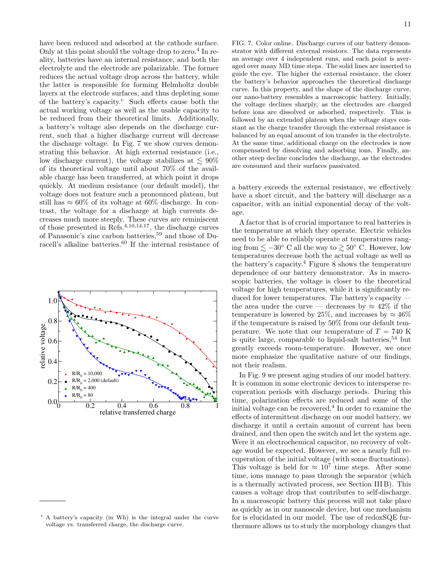have been reduced and adsorbed at the cathode surface. Only at this point should the voltage drop to zero.<sup>4</sup> In reality, batteries have an internal resistance, and both the electrolyte and the electrode are polarizable. The former reduces the actual voltage drop across the battery, while the latter is responsible for forming Helmholtz double layers at the electrode surfaces, and thus depleting some of the battery's capacity.<sup>c</sup> Such effects cause both the actual working voltage as well as the usable capacity to be reduced from their theoretical limits. Additionally, a battery's voltage also depends on the discharge current, such that a higher discharge current will decrease the discharge voltage. In Fig. 7 we show curves demonstrating this behavior. At high external resistance (i.e., low discharge current), the voltage stabilizes at  $\lesssim 90\%$ of its theoretical voltage until about 70% of the available charge has been transferred, at which point it drops quickly. At medium resistance (our default model), the voltage does not feature such a pronounced plateau, but still has  $\approx 60\%$  of its voltage at 60% discharge. In contrast, the voltage for a discharge at high currents decreases much more steeply. These curves are reminiscent of those presented in Refs.4,10,14,17, the discharge curves of Panasonic's zinc carbon batteries,<sup>59</sup> and those of Duracell's alkaline batteries.<sup>60</sup> If the internal resistance of



FIG. 7. Color online. Discharge curves of our battery demonstrator with different external resistors. The data represents an average over 4 independent runs, and each point is averaged over many MD time steps. The solid lines are inserted to guide the eye. The higher the external resistance, the closer the battery's behavior approaches the theoretical discharge curve. In this property, and the shape of the discharge curve, our nano-battery resembles a macroscopic battery. Initially, the voltage declines sharply, as the electrodes are charged before ions are dissolved or adsorbed, respectively. This is followed by an extended plateau when the voltage stays constant as the charge transfer through the external resistance is balanced by an equal amount of ion transfer in the electrolyte. At the same time, additional charge on the electrodes is now compensated by dissolving and adsorbing ions. Finally, another steep decline concludes the discharge, as the electrodes are consumed and their surfaces passivated.

a battery exceeds the external resistance, we effectively have a short circuit, and the battery will discharge as a capacitor, with an initial exponential decay of the voltage.

A factor that is of crucial importance to real batteries is the temperature at which they operate. Electric vehicles need to be able to reliably operate at temperatures ranging from  $\lesssim -30^{\circ}$  C all the way to  $\gtrsim 50^{\circ}$  C. However, low temperatures decrease both the actual voltage as well as the battery's capacity.<sup>4</sup> Figure 8 shows the temperature dependence of our battery demonstrator. As in macroscopic batteries, the voltage is closer to the theoretical voltage for high temperatures, while it is significantly reduced for lower temperatures. The battery's capacity the area under the curve — decreases by  $\approx 42\%$  if the temperature is lowered by 25%, and increases by  $\approx 46\%$ if the temperature is raised by 50% from our default temperature. We note that our temperature of  $T = 740$  K is quite large, comparable to liquid-salt batteries,  $54$  but greatly exceeds room-temperature. However, we once more emphasize the qualitative nature of our findings, not their realism.

In Fig. 9 we present aging studies of our model battery. It is common in some electronic devices to intersperse recuperation periods with discharge periods. During this time, polarization effects are reduced and some of the initial voltage can be recovered.<sup>4</sup> In order to examine the effects of intermittent discharge on our model battery, we discharge it until a certain amount of current has been drained, and then open the switch and let the system age. Were it an electrochemical capacitor, no recovery of voltage would be expected. However, we see a nearly full recuperation of the initial voltage (with some fluctuations). This voltage is held for  $\approx 10^7$  time steps. After some time, ions manage to pass through the separator (which is a thermally activated process, see Section III B). This causes a voltage drop that contributes to self-discharge. In a macroscopic battery this process will not take place as quickly as in our nanoscale device, but one mechanism for is elucidated in our model. The use of redoxSQE furthermore allows us to study the morphology changes that

<sup>c</sup> A battery's capacity (in Wh) is the integral under the curve voltage vs. transferred charge, the discharge curve.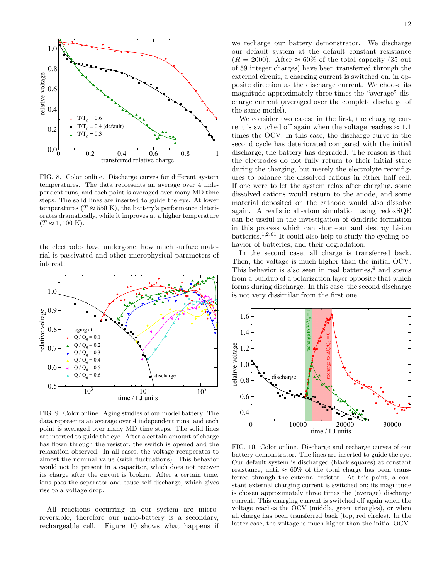

FIG. 8. Color online. Discharge curves for different system temperatures. The data represents an average over 4 independent runs, and each point is averaged over many MD time steps. The solid lines are inserted to guide the eye. At lower temperatures ( $T \approx 550$  K), the battery's performance deteriorates dramatically, while it improves at a higher temperature  $(T \approx 1, 100 \text{ K})$ .

the electrodes have undergone, how much surface material is passivated and other microphysical parameters of interest.



FIG. 9. Color online. Aging studies of our model battery. The data represents an average over 4 independent runs, and each point is averaged over many MD time steps. The solid lines are inserted to guide the eye. After a certain amount of charge has flown through the resistor, the switch is opened and the relaxation observed. In all cases, the voltage recuperates to almost the nominal value (with fluctuations). This behavior would not be present in a capacitor, which does not recover its charge after the circuit is broken. After a certain time, ions pass the separator and cause self-discharge, which gives rise to a voltage drop.

All reactions occurring in our system are microreversible, therefore our nano-battery is a secondary, rechargeable cell. Figure 10 shows what happens if

we recharge our battery demonstrator. We discharge our default system at the default constant resistance  $(R = 2000)$ . After ≈ 60% of the total capacity (35 out of 59 integer charges) have been transferred through the external circuit, a charging current is switched on, in opposite direction as the discharge current. We choose its magnitude approximately three times the "average" discharge current (averaged over the complete discharge of the same model).

We consider two cases: in the first, the charging current is switched off again when the voltage reaches  $\approx 1.1$ times the OCV. In this case, the discharge curve in the second cycle has deteriorated compared with the initial discharge; the battery has degraded. The reason is that the electrodes do not fully return to their initial state during the charging, but merely the electrolyte reconfigures to balance the dissolved cations in either half cell. If one were to let the system relax after charging, some dissolved cations would return to the anode, and some material deposited on the cathode would also dissolve again. A realistic all-atom simulation using redoxSQE can be useful in the investigation of dendrite formation in this process which can short-out and destroy Li-ion batteries.<sup>1,2,61</sup> It could also help to study the cycling behavior of batteries, and their degradation.

In the second case, all charge is transferred back. Then, the voltage is much higher than the initial OCV. This behavior is also seen in real batteries, $4$  and stems from a buildup of a polarization layer opposite that which forms during discharge. In this case, the second discharge is not very dissimilar from the first one.



FIG. 10. Color online. Discharge and recharge curves of our battery demonstrator. The lines are inserted to guide the eye. Our default system is discharged (black squares) at constant resistance, until  $\approx 60\%$  of the total charge has been transferred through the external resistor. At this point, a constant external charging current is switched on; its magnitude is chosen approximately three times the (average) discharge current. This charging current is switched off again when the voltage reaches the OCV (middle, green triangles), or when all charge has been transferred back (top, red circles). In the latter case, the voltage is much higher than the initial OCV.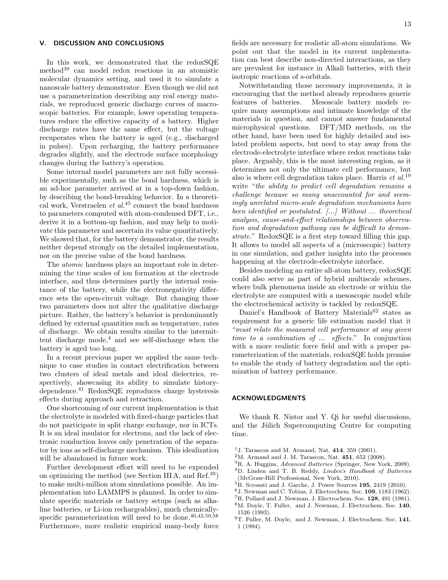# V. DISCUSSION AND CONCLUSIONS

In this work, we demonstrated that the redoxSQE method<sup>39</sup> can model redox reactions in an atomistic molecular dynamics setting, and used it to simulate a nanoscale battery demonstrator. Even though we did not use a parameterization describing any real energy materials, we reproduced generic discharge curves of macroscopic batteries. For example, lower operating temperatures reduce the effective capacity of a battery. Higher discharge rates have the same effect, but the voltage recuperates when the battery is aged (e.g., discharged in pulses). Upon recharging, the battery performance degrades slightly, and the electrode surface morphology changes during the battery's operation.

Some internal model parameters are not fully accessible experimentally, such as the bond hardness, which is an ad-hoc parameter arrived at in a top-down fashion, by describing the bond-breaking behavior. In a theoretical work, Verstraelen et  $al$ .<sup>45</sup> connect the bond hardness to parameters computed with atom-condensed DFT, i.e., derive it in a bottom-up fashion, and may help to motivate this parameter and ascertain its value quantitatively. We showed that, for the battery demonstrator, the results neither depend strongly on the detailed implementation, nor on the precise value of the bond hardness.

The atomic hardness plays an important role in determining the time scales of ion formation at the electrode interface, and thus determines partly the internal resistance of the battery, while the electronegativity difference sets the open-circuit voltage. But changing those two parameters does not alter the qualitative discharge picture. Rather, the battery's behavior is predominantly defined by external quantities such as temperature, rates of discharge. We obtain results similar to the intermittent discharge mode, $4$  and see self-discharge when the battery is aged too long.

In a recent previous paper we applied the same technique to case studies in contact electrification between two clusters of ideal metals and ideal dielectrics, respectively, showcasing its ability to simulate historydependence.<sup>41</sup> RedoxSQE reproduces charge hysteresis effects during approach and retraction.

One shortcoming of our current implementation is that the electrolyte is modeled with fixed-charge particles that do not participate in split charge exchange, nor in ICTs. It is an ideal insulator for electrons, and the lack of electronic conduction leaves only penetration of the separator by ions as self-discharge mechanism. This idealization will be abandoned in future work.

Further development effort will need to be expended on optimizing the method (see Section III A, and Ref.<sup>39</sup>) to make multi-million atom simulations possible. An implementation into LAMMPS is planned. In order to simulate specific materials or battery setups (such as alkaline batteries, or Li-ion rechargeables), much chemicallyspecific parameterization will need to be done.  $40,42,50,58$ Furthermore, more realistic empirical many-body force fields are necessary for realistic all-atom simulations. We point out that the model in its current implementation can best describe non-directed interactions, as they are prevalent for instance in Alkali batteries, with their isotropic reactions of s-orbitals.

Notwithstanding those necessary improvements, it is encouraging that the method already reproduces generic features of batteries. Mesoscale battery models require many assumptions and intimate knowledge of the materials in question, and cannot answer fundamental microphysical questions. DFT/MD methods, on the other hand, have been used for highly detailed and isolated problem aspects, but need to stay away from the electrode-electrolyte interface where redox reactions take place. Arguably, this is the most interesting region, as it determines not only the ultimate cell performance, but also is where cell degradation takes place. Harris *et al.*<sup>19</sup> write "the ability to predict cell degradation remains a challenge because so many unaccounted for and seemingly unrelated micro-scale degradation mechanisms have been identified or postulated. [...] Without ... theoretical analysis, cause-and-effect relationships between observation and degradation pathway can be difficult to demonstrate." RedoxSQE is a first step toward filling this gap. It allows to model all aspects of a (microscopic) battery in one simulation, and gather insights into the processes happening at the electrode-electrolyte interface.

Besides modeling an entire all-atom battery, redoxSQE could also serve as part of hybrid multiscale schemes, where bulk phenomena inside an electrode or within the electrolyte are computed with a mesoscopic model while the electrochemical activity is tackled by redoxSQE.

Daniel's Handbook of Battery Materials<sup>62</sup> states as requirement for a generic life estimation model that it "must relate the measured cell performance at any given time to a combination of ... effects." In conjunction with a more realistic force field and with a proper parameterization of the materials, redoxSQE holds promise to enable the study of battery degradation and the optimization of battery performance.

# ACKNOWLEDGMENTS

We thank R. Nistor and Y. Qi for useful discussions, and the Jülich Supercomputing Centre for computing time.

- <sup>1</sup>J. Tarascon and M. Armand, Nat.  $414$ , 359 (2001).
- $2^{\circ}$ M. Armand and J. M. Tarascon, Nat. 451, 652 (2008).
- <sup>3</sup>R. A. Huggins, *Advanced Batteries* (Springer, New York, 2009). <sup>4</sup>D. Linden and T. B. Reddy, Linden's Handbook of Batteries (McGraw-Hill Professional, New York, 2010).
- ${}^{5}$ B. Scrosati and J. Garche, J. Power Sources 195, 2419 (2010).
- $6$ J. Newman and C. Tobias, J. Electrochem. Soc.  $109$ ,  $1183$  (1962).
- ${}^{7}R.$  Pollard and J. Newman, J. Electrochem. Soc. 128, 491 (1981).
- <sup>8</sup>M. Doyle, T. Fuller, and J. Newman, J. Electrochem. Soc. 140, 1526 (1993).
- <sup>9</sup>T. Fuller, M. Doyle, and J. Newman, J. Electrochem. Soc. 141, 1 (1994).